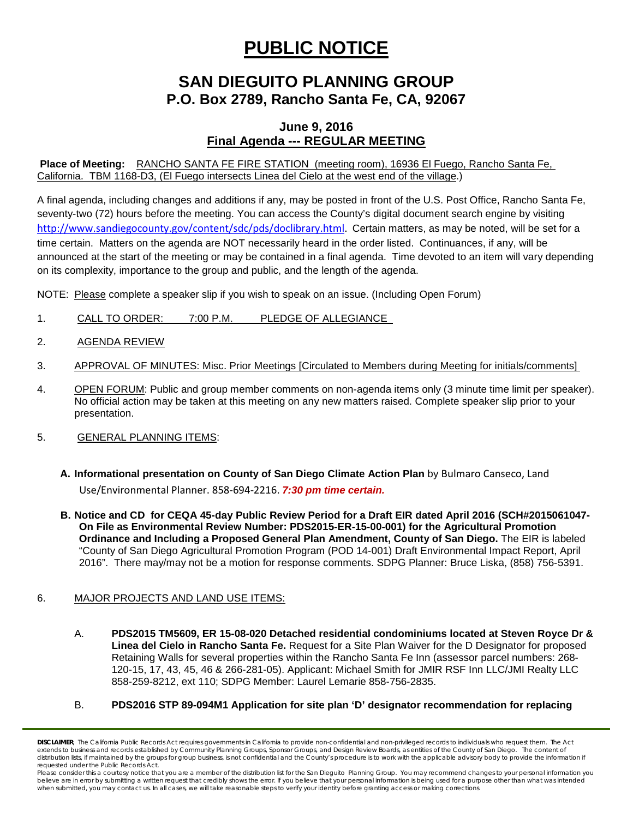# **PUBLIC NOTICE**

# **SAN DIEGUITO PLANNING GROUP P.O. Box 2789, Rancho Santa Fe, CA, 92067**

## **June 9, 2016 Final Agenda --- REGULAR MEETING**

**Place of Meeting:** RANCHO SANTA FE FIRE STATION (meeting room), 16936 El Fuego, Rancho Santa Fe, California. TBM 1168-D3, (El Fuego intersects Linea del Cielo at the west end of the village.)

A final agenda, including changes and additions if any, may be posted in front of the U.S. Post Office, Rancho Santa Fe, seventy-two (72) hours before the meeting. You can access the County's digital document search engine by visiting [http://www.sandiegocounty.gov/content/sdc/pds/doclibrary.html.](http://www.sandiegocounty.gov/content/sdc/pds/doclibrary.html) Certain matters, as may be noted, will be set for a time certain. Matters on the agenda are NOT necessarily heard in the order listed. Continuances, if any, will be announced at the start of the meeting or may be contained in a final agenda. Time devoted to an item will vary depending on its complexity, importance to the group and public, and the length of the agenda.

NOTE: Please complete a speaker slip if you wish to speak on an issue. (Including Open Forum)

- 1. CALL TO ORDER: 7:00 P.M. PLEDGE OF ALLEGIANCE
- 2. AGENDA REVIEW
- 3. APPROVAL OF MINUTES: Misc. Prior Meetings [Circulated to Members during Meeting for initials/comments]
- 4. OPEN FORUM: Public and group member comments on non-agenda items only (3 minute time limit per speaker). No official action may be taken at this meeting on any new matters raised. Complete speaker slip prior to your presentation.
- 5. GENERAL PLANNING ITEMS:
	- **A. Informational presentation on County of San Diego Climate Action Plan** by Bulmaro Canseco, Land Use/Environmental Planner. 858-694-2216. *7:30 pm time certain.*
	- **B. Notice and CD for CEQA 45-day Public Review Period for a Draft EIR dated April 2016 (SCH#2015061047- On File as Environmental Review Number: PDS2015-ER-15-00-001) for the Agricultural Promotion Ordinance and Including a Proposed General Plan Amendment, County of San Diego.** The EIR is labeled "County of San Diego Agricultural Promotion Program (POD 14-001) Draft Environmental Impact Report, April 2016". There may/may not be a motion for response comments. SDPG Planner: Bruce Liska, (858) 756-5391.

### 6. MAJOR PROJECTS AND LAND USE ITEMS:

- A. **PDS2015 TM5609, ER 15-08-020 Detached residential condominiums located at Steven Royce Dr & Linea del Cielo in Rancho Santa Fe.** Request for a Site Plan Waiver for the D Designator for proposed Retaining Walls for several properties within the Rancho Santa Fe Inn (assessor parcel numbers: 268- 120-15, 17, 43, 45, 46 & 266-281-05). Applicant: Michael Smith for JMIR RSF Inn LLC/JMI Realty LLC 858-259-8212, ext 110; SDPG Member: Laurel Lemarie 858-756-2835.
- B. **PDS2016 STP 89-094M1 Application for site plan 'D' designator recommendation for replacing**

*DISCLAIMER; The California Public Records Act requires governments in California to provide non-confidential and non-privileged records to individuals who request them. The Act*  extends to business and records established by Community Planning Groups, Sponsor Groups, and Design Review Boards, as entities of the County of San Diego. The content of distribution lists, if maintained by the groups for group business, is not confidential and the County's procedure is to work with the applicable advisory body to provide the information if *requested under the Public Records Act.*

*Please consider this a courtesy notice that you are a member of the distribution list for the San Dieguito Planning Group. You may recommend changes to your personal information you*  believe are in error by submitting a written request that credibly shows the error. If you believe that your personal information is being used for a purpose other than what was intended<br>when submitted, you may contact us.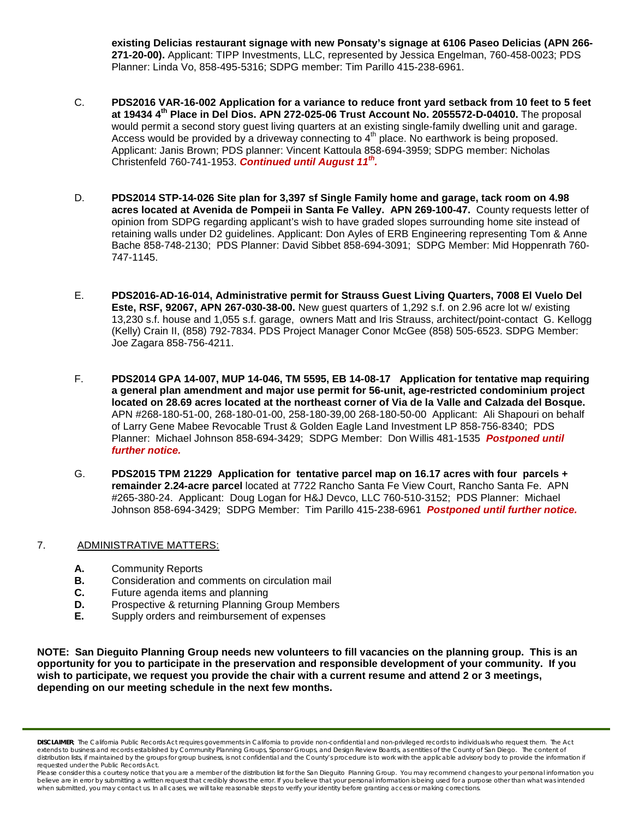**existing Delicias restaurant signage with new Ponsaty's signage at 6106 Paseo Delicias (APN 266- 271-20-00).** Applicant: TIPP Investments, LLC, represented by Jessica Engelman, [760-458-0023;](tel:760-458-0023) PDS Planner: Linda Vo, [858-495-5316;](tel:858-495-5316) SDPG member: Tim Parillo [415-238-6961.](tel:415-238-6961)

- C. **PDS2016 VAR-16-002 Application for a variance to reduce front yard setback from 10 feet to 5 feet at 19434 4th Place in Del Dios. APN 272-025-06 Trust Account No. 2055572-D-04010.** The proposal would permit a second story guest living quarters at an existing single-family dwelling unit and garage. Access would be provided by a driveway connecting to  $4<sup>th</sup>$  place. No earthwork is being proposed. Applicant: Janis Brown; PDS planner: Vincent Kattoula 858-694-3959; SDPG member: Nicholas Christenfeld 760-741-1953. **Continued until August 11<sup>th</sup>.**
- D. **PDS2014 STP-14-026 Site plan for 3,397 sf Single Family home and garage, tack room on 4.98 acres located at Avenida de Pompeii in Santa Fe Valley. APN 269-100-47.** County requests letter of opinion from SDPG regarding applicant's wish to have graded slopes surrounding home site instead of retaining walls under D2 guidelines. Applicant: Don Ayles of ERB Engineering representing Tom & Anne Bache 858-748-2130; PDS Planner: David Sibbet 858-694-3091; SDPG Member: Mid Hoppenrath 760- 747-1145.
- E. **PDS2016-AD-16-014, Administrative permit for Strauss Guest Living Quarters, 7008 El Vuelo Del Este, RSF, 92067, APN 267-030-38-00.** New guest quarters of 1,292 s.f. on 2.96 acre lot w/ existing 13,230 s.f. house and 1,055 s.f. garage, owners Matt and Iris Strauss, architect/point-contact G. Kellogg (Kelly) Crain II, (858) 792-7834. PDS Project Manager Conor McGee (858) 505-6523. SDPG Member: Joe Zagara 858-756-4211.
- F. **PDS2014 GPA 14-007, MUP 14-046, TM 5595, EB 14-08-17 Application for tentative map requiring a general plan amendment and major use permit for 56-unit, age-restricted condominium project located on 28.69 acres located at the northeast corner of Via de la Valle and Calzada del Bosque.**  APN #268-180-51-00, 268-180-01-00, 258-180-39,00 268-180-50-00 Applicant: Ali Shapouri on behalf of Larry Gene Mabee Revocable Trust & Golden Eagle Land Investment LP 858-756-8340; PDS Planner: Michael Johnson 858-694-3429; SDPG Member: Don Willis 481-1535 *Postponed until further notice.*
- G. **PDS2015 TPM 21229 Application for tentative parcel map on 16.17 acres with four parcels + remainder 2.24-acre parcel** located at 7722 Rancho Santa Fe View Court, Rancho Santa Fe. APN #265-380-24. Applicant: Doug Logan for H&J Devco, LLC 760-510-3152; PDS Planner: Michael Johnson 858-694-3429; SDPG Member: Tim Parillo 415-238-6961 *Postponed until further notice.*

### 7. ADMINISTRATIVE MATTERS:

- **A.** Community Reports<br>**B.** Consideration and co
- **B.** Consideration and comments on circulation mail
- **C.** Future agenda items and planning<br>**D.** Prospective & returning Planning G
- **D.** Prospective & returning Planning Group Members<br>**E.** Supply orders and reimbursement of expenses
- **E.** Supply orders and reimbursement of expenses

**NOTE: San Dieguito Planning Group needs new volunteers to fill vacancies on the planning group. This is an opportunity for you to participate in the preservation and responsible development of your community. If you wish to participate, we request you provide the chair with a current resume and attend 2 or 3 meetings, depending on our meeting schedule in the next few months.**

*DISCLAIMER; The California Public Records Act requires governments in California to provide non-confidential and non-privileged records to individuals who request them. The Act extends to business and records established by Community Planning Groups, Sponsor Groups, and Design Review Boards, as entities of the County of San Diego. The content of*  distribution lists, if maintained by the groups for group business, is not confidential and the County's procedure is to work with the applicable advisory body to provide the information if *requested under the Public Records Act.*

*Please consider this a courtesy notice that you are a member of the distribution list for the San Dieguito Planning Group. You may recommend changes to your personal information you*  believe are in error by submitting a written request that credibly shows the error. If you believe that your personal information is being used for a purpose other than what was intended<br>when submitted, you may contact us.